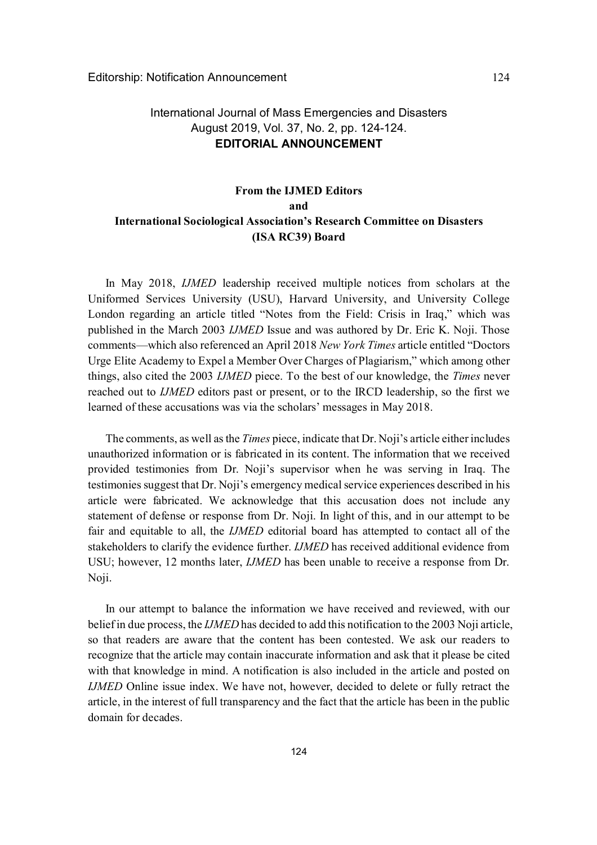## International Journal of Mass Emergencies and Disasters August 2019, Vol. 37, No. 2, pp. 124-124. **EDITORIAL ANNOUNCEMENT**

# **From the IJMED Editors and International Sociological Association's Research Committee on Disasters (ISA RC39) Board**

In May 2018, *IJMED* leadership received multiple notices from scholars at the Uniformed Services University (USU), Harvard University, and University College London regarding an article titled "Notes from the Field: Crisis in Iraq," which was published in the March 2003 *IJMED* Issue and was authored by Dr. Eric K. Noji. Those comments—which also referenced an April 2018 *New York Times* article entitled "Doctors Urge Elite Academy to Expel a Member Over Charges of Plagiarism," which among other things, also cited the 2003 *IJMED* piece. To the best of our knowledge, the *Times* never reached out to *IJMED* editors past or present, or to the IRCD leadership, so the first we learned of these accusations was via the scholars' messages in May 2018.

The comments, as well as the *Times* piece, indicate that Dr. Noji's article either includes unauthorized information or is fabricated in its content. The information that we received provided testimonies from Dr. Noji's supervisor when he was serving in Iraq. The testimonies suggest that Dr. Noji's emergency medical service experiences described in his article were fabricated. We acknowledge that this accusation does not include any statement of defense or response from Dr. Noji. In light of this, and in our attempt to be fair and equitable to all, the *IJMED* editorial board has attempted to contact all of the stakeholders to clarify the evidence further. *IJMED* has received additional evidence from USU; however, 12 months later, *IJMED* has been unable to receive a response from Dr. Noji.

In our attempt to balance the information we have received and reviewed, with our belief in due process, the *IJMED* has decided to add this notification to the 2003 Noji article, so that readers are aware that the content has been contested. We ask our readers to recognize that the article may contain inaccurate information and ask that it please be cited with that knowledge in mind. A notification is also included in the article and posted on *IJMED* Online issue index. We have not, however, decided to delete or fully retract the article, in the interest of full transparency and the fact that the article has been in the public domain for decades.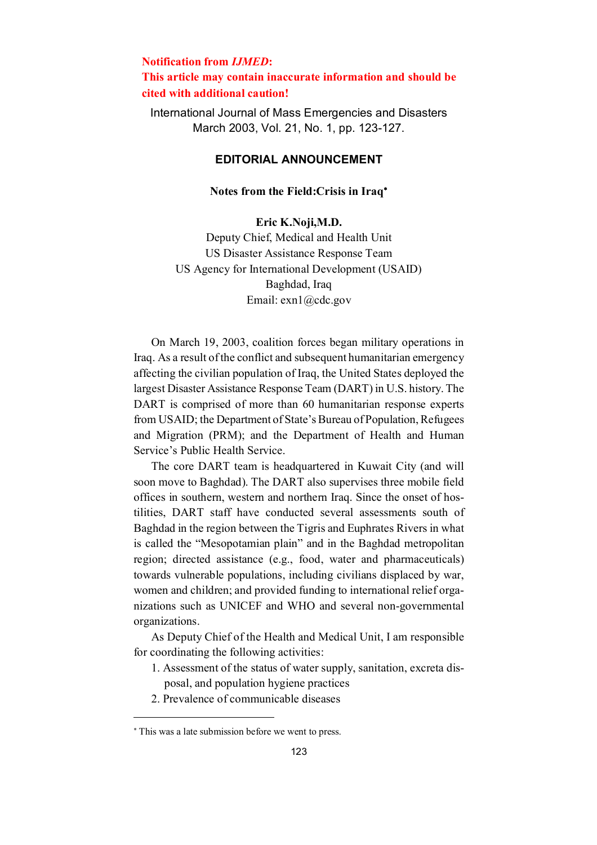## **Notification from** *IJMED***: This article may contain inaccurate information and should be cited with additional caution!**

International Journal of Mass Emergencies and Disasters March 2003, Vol. 21, No. 1, pp. 123-127.

### **EDITORIAL ANNOUNCEMENT**

### **Notes from the Field:Crisis in Iraq**

#### **Eric K.Noji,M.D.**

Deputy Chief, Medical and Health Unit US Disaster Assistance Response Team US Agency for International Development (USAID) Baghdad, Iraq Email: exn1@cdc.gov

On March 19, 2003, coalition forces began military operations in Iraq. As a result of the conflict and subsequent humanitarian emergency affecting the civilian population of Iraq, the United States deployed the largest Disaster Assistance Response Team (DART) in U.S. history. The DART is comprised of more than 60 humanitarian response experts from USAID; the Department of State's Bureau of Population, Refugees and Migration (PRM); and the Department of Health and Human Service's Public Health Service.

The core DART team is headquartered in Kuwait City (and will soon move to Baghdad). The DART also supervises three mobile field offices in southern, western and northern Iraq. Since the onset of hostilities, DART staff have conducted several assessments south of Baghdad in the region between the Tigris and Euphrates Rivers in what is called the "Mesopotamian plain" and in the Baghdad metropolitan region; directed assistance (e.g., food, water and pharmaceuticals) towards vulnerable populations, including civilians displaced by war, women and children; and provided funding to international relief organizations such as UNICEF and WHO and several non-governmental organizations.

As Deputy Chief of the Health and Medical Unit, I am responsible for coordinating the following activities:

- 1. Assessment of the status of water supply, sanitation, excreta disposal, and population hygiene practices
- 2. Prevalence of communicable diseases

 $\overline{a}$ 

This was a late submission before we went to press.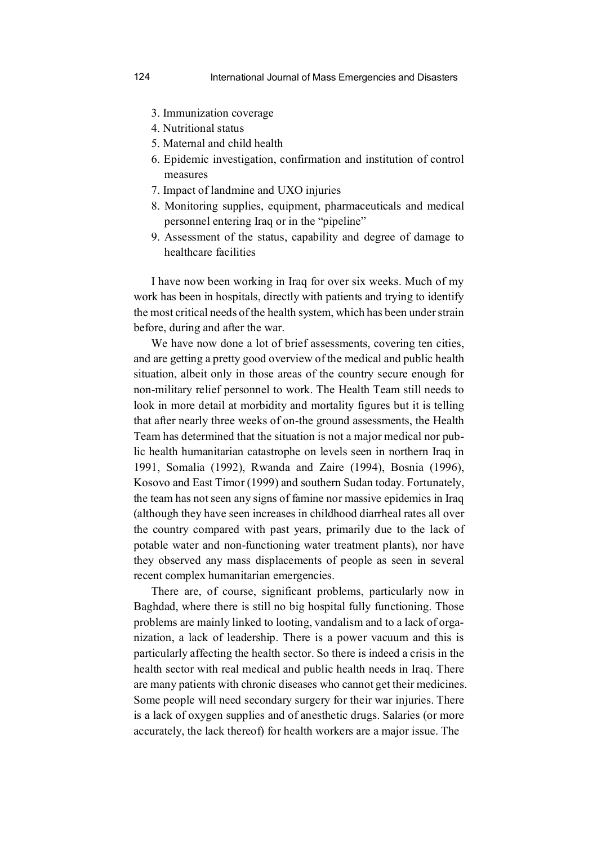- 3. Immunization coverage
- 4. Nutritional status
- 5. Maternal and child health
- 6. Epidemic investigation, confirmation and institution of control measures
- 7. Impact of landmine and UXO injuries
- 8. Monitoring supplies, equipment, pharmaceuticals and medical personnel entering Iraq or in the "pipeline"
- 9. Assessment of the status, capability and degree of damage to healthcare facilities

I have now been working in Iraq for over six weeks. Much of my work has been in hospitals, directly with patients and trying to identify the most critical needs of the health system, which has been under strain before, during and after the war.

We have now done a lot of brief assessments, covering ten cities, and are getting a pretty good overview of the medical and public health situation, albeit only in those areas of the country secure enough for non-military relief personnel to work. The Health Team still needs to look in more detail at morbidity and mortality figures but it is telling that after nearly three weeks of on-the ground assessments, the Health Team has determined that the situation is not a major medical nor public health humanitarian catastrophe on levels seen in northern Iraq in 1991, Somalia (1992), Rwanda and Zaire (1994), Bosnia (1996), Kosovo and East Timor (1999) and southern Sudan today. Fortunately, the team has not seen any signs of famine nor massive epidemics in Iraq (although they have seen increases in childhood diarrheal rates all over the country compared with past years, primarily due to the lack of potable water and non-functioning water treatment plants), nor have they observed any mass displacements of people as seen in several recent complex humanitarian emergencies.

There are, of course, significant problems, particularly now in Baghdad, where there is still no big hospital fully functioning. Those problems are mainly linked to looting, vandalism and to a lack of organization, a lack of leadership. There is a power vacuum and this is particularly affecting the health sector. So there is indeed a crisis in the health sector with real medical and public health needs in Iraq. There are many patients with chronic diseases who cannot get their medicines. Some people will need secondary surgery for their war injuries. There is a lack of oxygen supplies and of anesthetic drugs. Salaries (or more accurately, the lack thereof) for health workers are a major issue. The